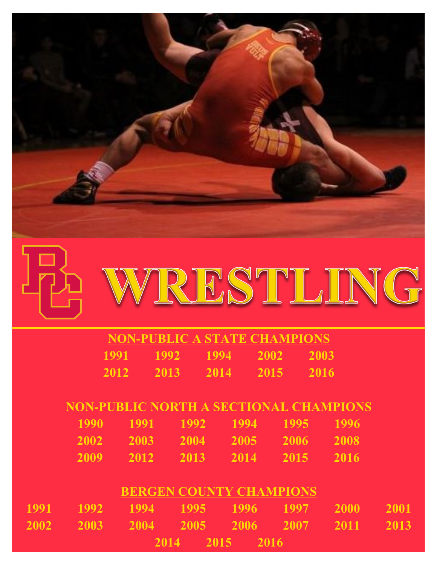





| NON-PUBLIC A STATE CHAMPIONS |      |      |      |      |  |  |
|------------------------------|------|------|------|------|--|--|
| 1991                         | 1992 | 1994 | 2002 | 2003 |  |  |
| 2012                         | 2013 | 2014 | 2015 | 2016 |  |  |

# **NON-PUBLIC NORTH A SECTIONAL CHAMPIONS**

| 1990 1991 1992 1994 1995 1996 |  |  |
|-------------------------------|--|--|
| 2002 2003 2004 2005 2006 2008 |  |  |
| 2009 2012 2013 2014 2015 2016 |  |  |

### **BERGEN COUNTY CHAMPIONS**

|  | 1991 1992 1994 1995 1996 1997 2000 2001, |                |  |  |
|--|------------------------------------------|----------------|--|--|
|  | 2002 2003 2004 2005 2006 2007 2011 2013  |                |  |  |
|  |                                          | 2014 2015 2016 |  |  |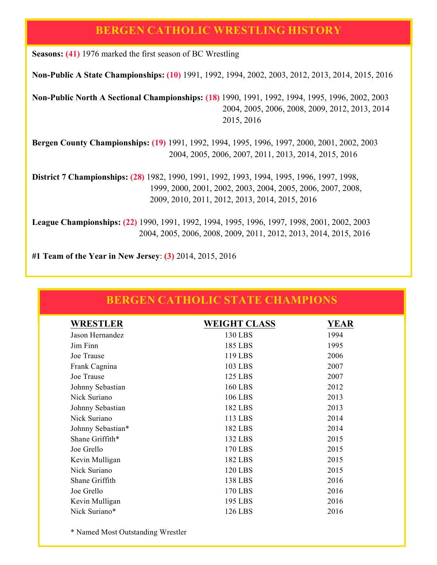#### **BERGEN CATHOLIC WRESTLING HISTORY**

**Seasons: (41)** 1976 marked the first season of BC Wrestling

**Non-Public A State Championships: (10)** 1991, 1992, 1994, 2002, 2003, 2012, 2013, 2014, 2015, 2016

**Non-Public North A Sectional Championships: (18)** 1990, 1991, 1992, 1994, 1995, 1996, 2002, 2003 2004, 2005, 2006, 2008, 2009, 2012, 2013, 2014 2015, 2016

**Bergen County Championships: (19)** 1991, 1992, 1994, 1995, 1996, 1997, 2000, 2001, 2002, 2003 2004, 2005, 2006, 2007, 2011, 2013, 2014, 2015, 2016

**District 7 Championships: (28)** 1982, 1990, 1991, 1992, 1993, 1994, 1995, 1996, 1997, 1998, 1999, 2000, 2001, 2002, 2003, 2004, 2005, 2006, 2007, 2008, 2009, 2010, 2011, 2012, 2013, 2014, 2015, 2016

**League Championships: (22)** 1990, 1991, 1992, 1994, 1995, 1996, 1997, 1998, 2001, 2002, 2003 2004, 2005, 2006, 2008, 2009, 2011, 2012, 2013, 2014, 2015, 2016

**#1 Team of the Year in New Jersey**: **(3)** 2014, 2015, 2016

| <b>WRESTLER</b>   | <b>WEIGHT CLASS</b> | YEAR |
|-------------------|---------------------|------|
| Jason Hernandez   | 130 LBS             | 1994 |
| Jim Finn          | 185 LBS             | 1995 |
| Joe Trause        | 119 LBS             | 2006 |
| Frank Cagnina     | 103 LBS             | 2007 |
| Joe Trause        | 125 LBS             | 2007 |
| Johnny Sebastian  | <b>160 LBS</b>      | 2012 |
| Nick Suriano      | 106 LBS             | 2013 |
| Johnny Sebastian  | 182 LBS             | 2013 |
| Nick Suriano      | 113 LBS             | 2014 |
| Johnny Sebastian* | 182 LBS             | 2014 |
| Shane Griffith*   | 132 LBS             | 2015 |
| Joe Grello        | 170 LBS             | 2015 |
| Kevin Mulligan    | 182 LBS             | 2015 |
| Nick Suriano      | 120 LBS             | 2015 |
| Shane Griffith    | 138 LBS             | 2016 |
| Joe Grello        | 170 LBS             | 2016 |
| Kevin Mulligan    | 195 LBS             | 2016 |
| Nick Suriano*     | 126 LBS             | 2016 |

#### **BERGEN CATHOLIC STATE CHAMPIONS**

\* Named Most Outstanding Wrestler